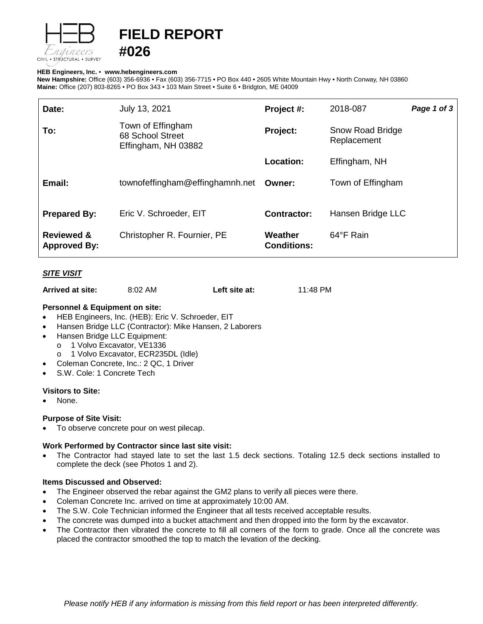

# **FIELD REPORT**

## **HEB Engineers, Inc.** • **[www.hebengineer](http://www.hebengineers.com/)s.com**

**#026**

**New Hampshire:** Office (603) 356-6936 • Fax (603) 356-7715 • PO Box 440 • 2605 White Mountain Hwy • North Conway, NH 03860 **Maine:** Office (207) 803-8265 • PO Box 343 • 103 Main Street • Suite 6 • Bridgton, ME 04009

| Date:                                        | July 13, 2021                                                | Project #:                    | 2018-087                        | Page 1 of 3 |
|----------------------------------------------|--------------------------------------------------------------|-------------------------------|---------------------------------|-------------|
| To:                                          | Town of Effingham<br>68 School Street<br>Effingham, NH 03882 | Project:                      | Snow Road Bridge<br>Replacement |             |
|                                              |                                                              | <b>Location:</b>              | Effingham, NH                   |             |
| Email:                                       | townofeffingham@effinghamnh.net                              | Owner:                        | Town of Effingham               |             |
| <b>Prepared By:</b>                          | Eric V. Schroeder, EIT                                       | <b>Contractor:</b>            | Hansen Bridge LLC               |             |
| <b>Reviewed &amp;</b><br><b>Approved By:</b> | Christopher R. Fournier, PE                                  | Weather<br><b>Conditions:</b> | 64°F Rain                       |             |

# *SITE VISIT*

| Arrived at site: | 8:02 AM | Left site at: | 11:48 PM |
|------------------|---------|---------------|----------|
|------------------|---------|---------------|----------|

# **Personnel & Equipment on site:**

- HEB Engineers, Inc. (HEB): Eric V. Schroeder, EIT
- Hansen Bridge LLC (Contractor): Mike Hansen, 2 Laborers
- Hansen Bridge LLC Equipment:
	- o 1 Volvo Excavator, VE1336
		- o 1 Volvo Excavator, ECR235DL (Idle)
- Coleman Concrete, Inc.: 2 QC, 1 Driver
- S.W. Cole: 1 Concrete Tech

## **Visitors to Site:**

None.

## **Purpose of Site Visit:**

To observe concrete pour on west pilecap.

## **Work Performed by Contractor since last site visit:**

• The Contractor had stayed late to set the last 1.5 deck sections. Totaling 12.5 deck sections installed to complete the deck (see Photos 1 and 2).

#### **Items Discussed and Observed:**

- The Engineer observed the rebar against the GM2 plans to verify all pieces were there.
- Coleman Concrete Inc. arrived on time at approximately 10:00 AM.
- The S.W. Cole Technician informed the Engineer that all tests received acceptable results.
- The concrete was dumped into a bucket attachment and then dropped into the form by the excavator.
- The Contractor then vibrated the concrete to fill all corners of the form to grade. Once all the concrete was placed the contractor smoothed the top to match the levation of the decking.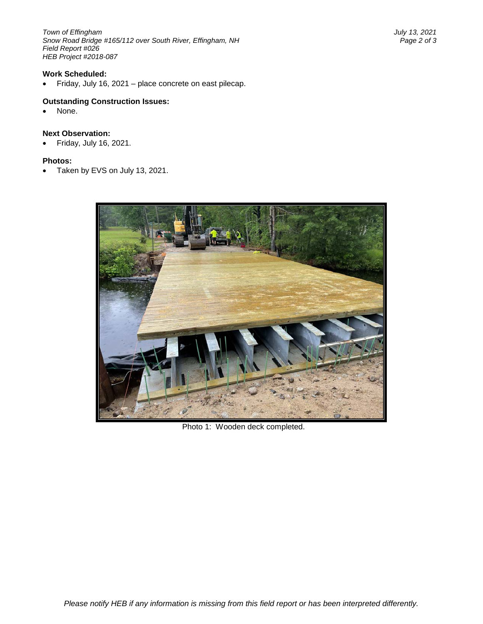*Town of Effingham July 13, 2021 Snow Road Bridge #165/112 over South River, Effingham, NH Field Report #026 HEB Project #2018-087*

# **Work Scheduled:**

• Friday, July 16, 2021 – place concrete on east pilecap.

#### **Outstanding Construction Issues:**

None.

#### **Next Observation:**

• Friday, July 16, 2021.

#### **Photos:**

• Taken by EVS on July 13, 2021.



Photo 1: Wooden deck completed.